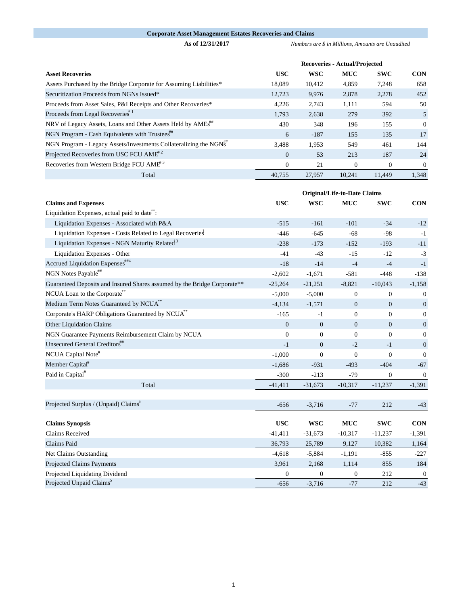## **Corporate Asset Management Estates Recoveries and Claims**

**As of 12/31/2017** *Numbers are \$ in Millions, Amounts are Unaudited* 

|                                                                               | <b>Recoveries - Actual/Projected</b> |            |            |            |                |
|-------------------------------------------------------------------------------|--------------------------------------|------------|------------|------------|----------------|
| <b>Asset Recoveries</b>                                                       | <b>USC</b>                           | <b>WSC</b> | <b>MUC</b> | <b>SWC</b> | <b>CON</b>     |
| Assets Purchased by the Bridge Corporate for Assuming Liabilities*            | 18,089                               | 10.412     | 4,859      | 7,248      | 658            |
| Securitization Proceeds from NGNs Issued*                                     | 12,723                               | 9,976      | 2,878      | 2,278      | 452            |
| Proceeds from Asset Sales, P&I Receipts and Other Recoveries*                 | 4.226                                | 2,743      | 1,111      | 594        | 50             |
| Proceeds from Legal Recoveries <sup>*1</sup>                                  | 1,793                                | 2,638      | 279        | 392        | 5              |
| NRV of Legacy Assets, Loans and Other Assets Held by AMEs <sup>""</sup>       | 430                                  | 348        | 196        | 155        | $\mathbf{0}$   |
| NGN Program - Cash Equivalents with Trustees"                                 | 6                                    | $-187$     | 155        | 135        | 17             |
| NGN Program - Legacy Assets/Investments Collateralizing the NGN <sup>##</sup> | 3.488                                | 1,953      | 549        | 461        | 144            |
| Projected Recoveries from USC FCU AME <sup>#2</sup>                           | $\theta$                             | 53         | 213        | 187        | 24             |
| Recoveries from Western Bridge FCU AME <sup>#3</sup>                          | $\Omega$                             | 21         | $\Omega$   | $\Omega$   | $\overline{0}$ |
| Total                                                                         | 40.755                               | 27,957     | 10.241     | 11.449     | 1,348          |

|                                                                          | <b>Original/Life-to-Date Claims</b> |                |                  |                  |                  |
|--------------------------------------------------------------------------|-------------------------------------|----------------|------------------|------------------|------------------|
| <b>Claims and Expenses</b>                                               | <b>USC</b>                          | <b>WSC</b>     | <b>MUC</b>       | <b>SWC</b>       | <b>CON</b>       |
| Liquidation Expenses, actual paid to date <sup>7</sup> :                 |                                     |                |                  |                  |                  |
| Liquidation Expenses - Associated with P&A                               | $-515$                              | $-161$         | $-101$           | $-34$            | $-12$            |
| Liquidation Expenses - Costs Related to Legal Recoveries                 | $-446$                              | $-645$         | $-68$            | $-98$            | $-1$             |
| Liquidation Expenses - NGN Maturity Related <sup>13</sup>                | $-238$                              | $-173$         | $-152$           | $-193$           | $-11$            |
| Liquidation Expenses - Other                                             | $-41$                               | $-43$          | $-15$            | $-12$            | $-3$             |
| Accrued Liquidation Expenses <sup>##4</sup>                              | $-18$                               | $-14$          | $-4$             | $-4$             | $-1$             |
| NGN Notes Payable <sup>##</sup>                                          | $-2,602$                            | $-1,671$       | $-581$           | $-448$           | $-138$           |
| Guaranteed Deposits and Insured Shares assumed by the Bridge Corporate** | $-25,264$                           | $-21,251$      | $-8,821$         | $-10,043$        | $-1,158$         |
| NCUA Loan to the Corporate                                               | $-5,000$                            | $-5,000$       | $\boldsymbol{0}$ | $\boldsymbol{0}$ | $\boldsymbol{0}$ |
| Medium Term Notes Guaranteed by NCUA <sup>**</sup>                       | $-4,134$                            | $-1,571$       | $\mathbf{0}$     | $\mathbf{0}$     | $\overline{0}$   |
| Corporate's HARP Obligations Guaranteed by NCUA <sup>**</sup>            | $-165$                              | $-1$           | $\mathbf{0}$     | $\mathbf{0}$     | $\overline{0}$   |
| Other Liquidation Claims                                                 | $\mathbf{0}$                        | $\mathbf{0}$   | $\boldsymbol{0}$ | $\boldsymbol{0}$ | $\mathbf{0}$     |
| NGN Guarantee Payments Reimbursement Claim by NCUA                       | $\mathbf{0}$                        | $\mathbf{0}$   | $\overline{0}$   | $\mathbf{0}$     | $\overline{0}$   |
| Unsecured General Creditors"                                             | $-1$                                | $\Omega$       | $-2$             | $-1$             | $\overline{0}$   |
| NCUA Capital Note#                                                       | $-1,000$                            | $\overline{0}$ | $\overline{0}$   | $\mathbf{0}$     | $\overline{0}$   |
| Member Capital <sup>#</sup>                                              | $-1,686$                            | $-931$         | $-493$           | $-404$           | $-67$            |
| Paid in Capital <sup>#</sup>                                             | $-300$                              | $-213$         | $-79$            | $\overline{0}$   | $\boldsymbol{0}$ |
| Total                                                                    | $-41,411$                           | $-31,673$      | $-10,317$        | $-11,237$        | $-1,391$         |
|                                                                          |                                     |                |                  |                  |                  |
| Projected Surplus / (Unpaid) Claims <sup>3</sup>                         | $-656$                              | $-3,716$       | $-77$            | 212              | $-43$            |
|                                                                          |                                     |                |                  |                  |                  |
| <b>Claims Synopsis</b>                                                   | <b>USC</b>                          | <b>WSC</b>     | <b>MUC</b>       | <b>SWC</b>       | <b>CON</b>       |
| Claims Received                                                          | $-41,411$                           | $-31,673$      | $-10,317$        | $-11,237$        | $-1,391$         |
| Claims Paid                                                              | 36,793                              | 25,789         | 9,127            | 10,382           | 1,164            |
| Net Claims Outstanding                                                   | $-4,618$                            | $-5,884$       | $-1,191$         | $-855$           | $-227$           |
| Projected Claims Payments                                                | 3,961                               | 2,168          | 1,114            | 855              | 184              |
| Projected Liquidating Dividend                                           | $\boldsymbol{0}$                    | $\mathbf{0}$   | $\boldsymbol{0}$ | 212              | $\mathbf{0}$     |
| Projected Unpaid Claims <sup>5</sup>                                     | $-656$                              | $-3,716$       | $-77$            | 212              | $-43$            |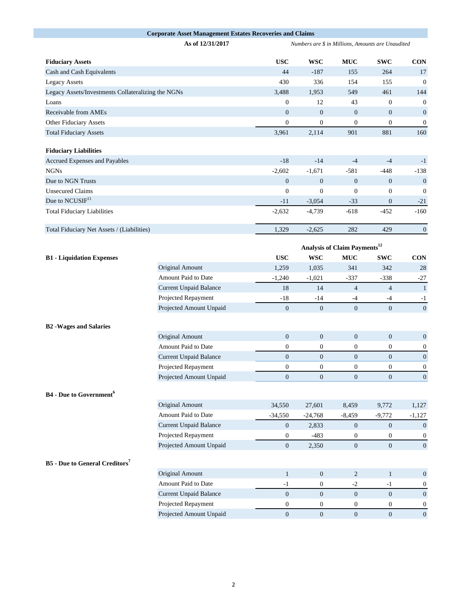|                                                    | <b>Corporate Asset Management Estates Recoveries and Claims</b> |                                                   |                  |                  |                  |                  |  |  |
|----------------------------------------------------|-----------------------------------------------------------------|---------------------------------------------------|------------------|------------------|------------------|------------------|--|--|
|                                                    | As of 12/31/2017                                                | Numbers are \$ in Millions, Amounts are Unaudited |                  |                  |                  |                  |  |  |
| <b>Fiduciary Assets</b>                            |                                                                 | <b>USC</b>                                        | <b>WSC</b>       | <b>MUC</b>       | <b>SWC</b>       | <b>CON</b>       |  |  |
| Cash and Cash Equivalents                          |                                                                 | 44                                                | $-187$           | 155              | 264              | 17               |  |  |
| <b>Legacy Assets</b>                               | 430                                                             | 336                                               | 154              | 155              | $\boldsymbol{0}$ |                  |  |  |
| Legacy Assets/Investments Collateralizing the NGNs |                                                                 | 3,488                                             | 1,953            | 549              | 461              | 144              |  |  |
| Loans                                              |                                                                 | $\boldsymbol{0}$                                  | 12               | 43               | $\boldsymbol{0}$ | $\boldsymbol{0}$ |  |  |
| Receivable from AMEs                               |                                                                 | $\mathbf{0}$                                      | $\mathbf{0}$     | $\mathbf{0}$     | $\mathbf{0}$     | $\boldsymbol{0}$ |  |  |
| Other Fiduciary Assets                             |                                                                 | $\boldsymbol{0}$                                  | $\boldsymbol{0}$ | $\boldsymbol{0}$ | $\boldsymbol{0}$ | $\boldsymbol{0}$ |  |  |
| <b>Total Fiduciary Assets</b>                      |                                                                 | 3,961                                             | 2,114            | 901              | 881              | 160              |  |  |
| <b>Fiduciary Liabilities</b>                       |                                                                 |                                                   |                  |                  |                  |                  |  |  |
| Accrued Expenses and Payables                      |                                                                 | $-18$                                             | $-14$            | $-4$             | $-4$             | $-1$             |  |  |
| <b>NGNs</b>                                        |                                                                 | $-2,602$                                          | $-1,671$         | $-581$           | $-448$           | $-138$           |  |  |
| Due to NGN Trusts                                  |                                                                 | $\mathbf{0}$                                      | $\mathbf{0}$     | $\boldsymbol{0}$ | $\overline{0}$   | $\mathbf{0}$     |  |  |
| <b>Unsecured Claims</b>                            |                                                                 | $\boldsymbol{0}$                                  | $\boldsymbol{0}$ | $\boldsymbol{0}$ | $\mathbf{0}$     | $\boldsymbol{0}$ |  |  |
| Due to NCUSIF <sup>11</sup>                        |                                                                 | $-11$                                             | $-3,054$         | $-33$            | $\mathbf{0}$     | $-21$            |  |  |
| <b>Total Fiduciary Liabilities</b>                 |                                                                 | $-2,632$                                          | $-4,739$         | $-618$           | $-452$           | $-160$           |  |  |
| Total Fiduciary Net Assets / (Liabilities)         |                                                                 | 1,329                                             | $-2,625$         | 282              | 429              | $\boldsymbol{0}$ |  |  |
|                                                    | Analysis of Claim Payments <sup>12</sup>                        |                                                   |                  |                  |                  |                  |  |  |
| <b>B1</b> - Liquidation Expenses                   |                                                                 | <b>USC</b>                                        | <b>WSC</b>       | $\bf MUC$        | <b>SWC</b>       | <b>CON</b>       |  |  |
|                                                    | Original Amount                                                 | 1,259                                             | 1,035            | 341              | 342              | 28               |  |  |
|                                                    | Amount Paid to Date                                             | $-1,240$                                          | $-1,021$         | $-337$           | $-338$           | $-27$            |  |  |
|                                                    | <b>Current Unpaid Balance</b>                                   | $18\,$                                            | 14               | $\overline{4}$   | $\overline{4}$   | $\mathbf{1}$     |  |  |
|                                                    | Projected Repayment                                             | $-18$                                             | $-14$            | $-4$             | $-4$             | $-1$             |  |  |
|                                                    | Projected Amount Unpaid                                         | $\mathbf{0}$                                      | $\boldsymbol{0}$ | $\overline{0}$   | $\mathbf{0}$     | $\mathbf{0}$     |  |  |
| <b>B2</b> - Wages and Salaries                     |                                                                 |                                                   |                  |                  |                  |                  |  |  |
|                                                    | Original Amount                                                 | $\boldsymbol{0}$                                  | $\boldsymbol{0}$ | $\boldsymbol{0}$ | $\boldsymbol{0}$ | $\boldsymbol{0}$ |  |  |
|                                                    | Amount Paid to Date                                             | $\boldsymbol{0}$                                  | $\boldsymbol{0}$ | $\boldsymbol{0}$ | $\boldsymbol{0}$ | $\boldsymbol{0}$ |  |  |
|                                                    | <b>Current Unpaid Balance</b>                                   | $\boldsymbol{0}$                                  | $\mathbf{0}$     | $\boldsymbol{0}$ | $\boldsymbol{0}$ | $\vert 0 \vert$  |  |  |
|                                                    | Projected Repayment                                             | $\boldsymbol{0}$                                  | $\boldsymbol{0}$ | $\boldsymbol{0}$ | $\boldsymbol{0}$ | $\boldsymbol{0}$ |  |  |
|                                                    | Projected Amount Unpaid                                         | $\boldsymbol{0}$                                  | $\mathbf{0}$     | $\boldsymbol{0}$ | $\mathbf{0}$     | 0                |  |  |
| <b>B4</b> - Due to Government <sup>6</sup>         |                                                                 |                                                   |                  |                  |                  |                  |  |  |
|                                                    | Original Amount                                                 | 34,550                                            | 27,601           | 8,459            | 9,772            | 1,127            |  |  |
|                                                    | Amount Paid to Date                                             | $-34,550$                                         | $-24,768$        | $-8,459$         | $-9,772$         | $-1,127$         |  |  |
|                                                    | <b>Current Unpaid Balance</b>                                   | $\mathbf{0}$                                      | 2,833            | $\mathbf{0}$     | $\mathbf{0}$     | $\mathbf{0}$     |  |  |
|                                                    | Projected Repayment                                             | $\boldsymbol{0}$                                  | $-483$           | $\boldsymbol{0}$ | $\boldsymbol{0}$ | 0                |  |  |
|                                                    | Projected Amount Unpaid                                         | $\boldsymbol{0}$                                  | 2,350            | $\mathbf{0}$     | $\mathbf{0}$     | $\mathbf{0}$     |  |  |
| <b>B5</b> - Due to General Creditors <sup>7</sup>  |                                                                 |                                                   |                  |                  |                  |                  |  |  |
|                                                    | Original Amount                                                 | $\mathbf{1}$                                      | $\mathbf{0}$     | $\overline{2}$   | $\mathbf{1}$     | $\mathbf{0}$     |  |  |
|                                                    | Amount Paid to Date                                             | $-1$                                              | $\mathbf{0}$     | $-2$             | $-1$             | 0                |  |  |
|                                                    | <b>Current Unpaid Balance</b>                                   | $\mathbf{0}$                                      | $\boldsymbol{0}$ | $\boldsymbol{0}$ | $\boldsymbol{0}$ | $\mathbf{0}$     |  |  |
|                                                    | Projected Repayment                                             | $\boldsymbol{0}$                                  | $\boldsymbol{0}$ | $\boldsymbol{0}$ | $\boldsymbol{0}$ | $\boldsymbol{0}$ |  |  |
|                                                    | Projected Amount Unpaid                                         | $\overline{0}$                                    | $\mathbf{0}$     | $\overline{0}$   | $\overline{0}$   | $\mathbf{0}$     |  |  |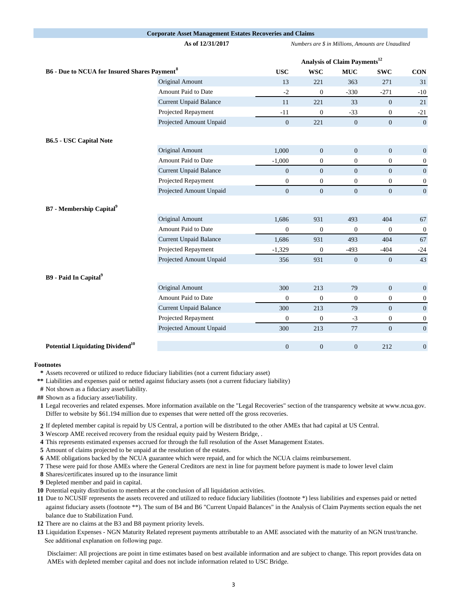## **Corporate Asset Management Estates Recoveries and Claims**

**As of 12/31/2017** *Numbers are \$ in Millions, Amounts are Unaudited* 

|                                                                |                               | Analysis of Claim Payments <sup>12</sup> |                  |                  |                |                  |
|----------------------------------------------------------------|-------------------------------|------------------------------------------|------------------|------------------|----------------|------------------|
| <b>B6 - Due to NCUA for Insured Shares Payment<sup>8</sup></b> |                               | <b>USC</b>                               | <b>WSC</b>       | <b>MUC</b>       | <b>SWC</b>     | <b>CON</b>       |
|                                                                | Original Amount               | 13                                       | 221              | 363              | 271            | 31               |
|                                                                | Amount Paid to Date           | $-2$                                     | $\overline{0}$   | $-330$           | $-271$         | $-10$            |
|                                                                | <b>Current Unpaid Balance</b> | 11                                       | 221              | 33               | $\mathbf{0}$   | 21               |
|                                                                | Projected Repayment           | $-11$                                    | $\overline{0}$   | $-33$            | $\overline{0}$ | $-21$            |
|                                                                | Projected Amount Unpaid       | $\overline{0}$                           | 221              | $\overline{0}$   | $\overline{0}$ | $\mathbf{0}$     |
| <b>B6.5 - USC Capital Note</b>                                 |                               |                                          |                  |                  |                |                  |
|                                                                | Original Amount               | 1,000                                    | $\mathbf{0}$     | $\mathbf{0}$     | $\mathbf{0}$   | $\mathbf{0}$     |
|                                                                | Amount Paid to Date           | $-1,000$                                 | $\boldsymbol{0}$ | $\boldsymbol{0}$ | $\mathbf{0}$   | $\boldsymbol{0}$ |
|                                                                | <b>Current Unpaid Balance</b> | $\overline{0}$                           | $\overline{0}$   | $\overline{0}$   | $\overline{0}$ | $\overline{0}$   |
|                                                                | Projected Repayment           | $\boldsymbol{0}$                         | $\mathbf{0}$     | $\boldsymbol{0}$ | $\overline{0}$ | $\mathbf{0}$     |
|                                                                | Projected Amount Unpaid       | $\overline{0}$                           | $\overline{0}$   | $\overline{0}$   | $\overline{0}$ | $\mathbf{0}$     |
| <b>B7</b> - Membership Capital <sup>9</sup>                    |                               |                                          |                  |                  |                |                  |
|                                                                | Original Amount               | 1,686                                    | 931              | 493              | 404            | 67               |
|                                                                | Amount Paid to Date           | $\mathbf{0}$                             | $\overline{0}$   | $\mathbf{0}$     | $\mathbf{0}$   | $\mathbf{0}$     |
|                                                                | <b>Current Unpaid Balance</b> | 1,686                                    | 931              | 493              | 404            | 67               |
|                                                                | Projected Repayment           | $-1,329$                                 | $\overline{0}$   | $-493$           | $-404$         | $-24$            |
|                                                                | Projected Amount Unpaid       | 356                                      | 931              | $\mathbf{0}$     | $\mathbf{0}$   | 43               |
| B9 - Paid In Capital <sup>9</sup>                              |                               |                                          |                  |                  |                |                  |
|                                                                | Original Amount               | 300                                      | 213              | 79               | $\overline{0}$ | $\mathbf{0}$     |
|                                                                | Amount Paid to Date           | $\boldsymbol{0}$                         | $\overline{0}$   | $\mathbf{0}$     | $\overline{0}$ | $\overline{0}$   |
|                                                                | <b>Current Unpaid Balance</b> | 300                                      | 213              | 79               | $\mathbf{0}$   | $\mathbf{0}$     |
|                                                                | Projected Repayment           | $\boldsymbol{0}$                         | $\overline{0}$   | $-3$             | $\overline{0}$ | $\boldsymbol{0}$ |
|                                                                | Projected Amount Unpaid       | 300                                      | 213              | 77               | $\overline{0}$ | $\mathbf{0}$     |
| Potential Liquidating Dividend <sup>10</sup>                   |                               | $\Omega$                                 | $\Omega$         | $\Omega$         | 212            | $\Omega$         |

## **Footnotes**

**\*** Assets recovered or utilized to reduce fiduciary liabilities (not a current fiduciary asset)

**\*\*** Liabilities and expenses paid or netted against fiduciary assets (not a current fiduciary liability)

**#** Not shown as a fiduciary asset/liability.

**##** Shown as a fiduciary asset/liability.

**1** Legal recoveries and related expenses. More information available on the "Legal Recoveries" section of the transparency website at www.ncua.gov. Differ to website by \$61.194 million due to expenses that were netted off the gross recoveries.

**2** If depleted member capital is repaid by US Central, a portion will be distributed to the other AMEs that had capital at US Central.

**3** Wescorp AME received recovery from the residual equity paid by Western Bridge, .

**4** This represents estimated expenses accrued for through the full resolution of the Asset Management Estates.

**5** Amount of claims projected to be unpaid at the resolution of the estates.

**6** AME obligations backed by the NCUA guarantee which were repaid, and for which the NCUA claims reimbursement.

**7** These were paid for those AMEs where the General Creditors are next in line for payment before payment is made to lower level claim

**8** Shares/certificates insured up to the insurance limit

**9** Depleted member and paid in capital.

**10** Potential equity distribution to members at the conclusion of all liquidation activities.

**11** Due to NCUSIF represents the assets recovered and utilized to reduce fiduciary liabilities (footnote \*) less liabilities and expenses paid or netted against fiduciary assets (footnote \*\*). The sum of B4 and B6 "Current Unpaid Balances" in the Analysis of Claim Payments section equals the net balance due to Stabilization Fund.

**12** There are no claims at the B3 and B8 payment priority levels.

**13** Liquidation Expenses - NGN Maturity Related represent payments attributable to an AME associated with the maturity of an NGN trust/tranche. See additional explanation on following page.

Disclaimer: All projections are point in time estimates based on best available information and are subject to change. This report provides data on AMEs with depleted member capital and does not include information related to USC Bridge.